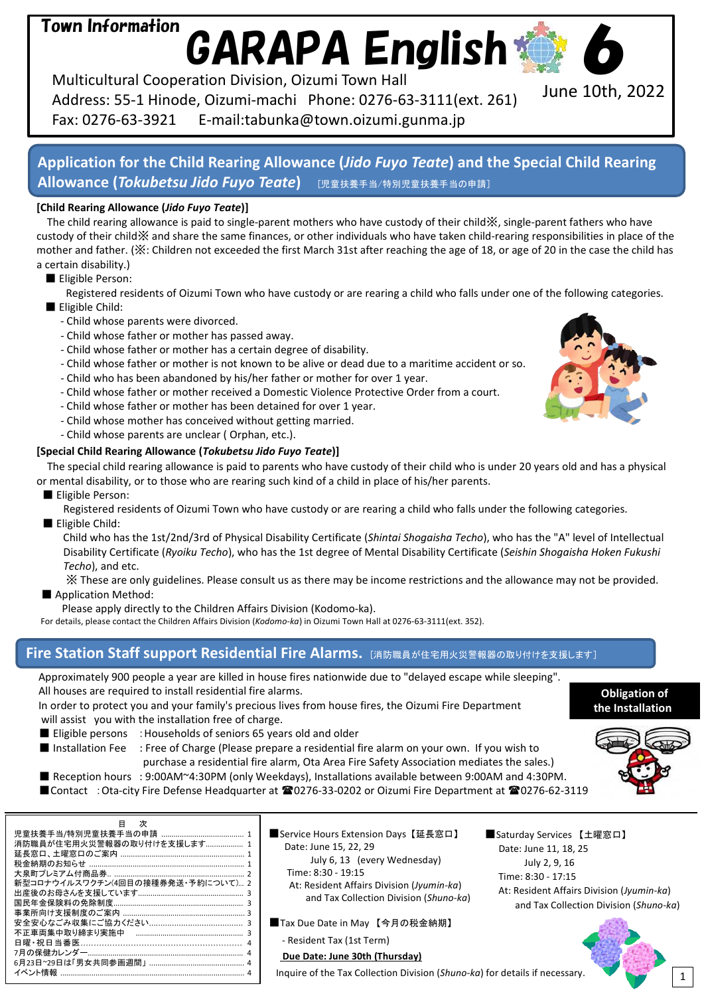# Town Information

GARAPA English

Multicultural Cooperation Division, Oizumi Town Hall Address: 55-1 Hinode, Oizumi-machi Phone: 0276-63-3111(ext. 261) Fax: 0276-63-3921 E-mail:tabunka@town.oizumi.gunma.jp

# **Application for the Child Rearing Allowance (***Jido Fuyo Teate***) and the Special Child Rearing Allowance (***Tokubetsu Jido Fuyo Teate***)** [児童扶養手当/特別児童扶養手当の申請]

#### **[Child Rearing Allowance (***Jido Fuyo Teate***)]**

The child rearing allowance is paid to single-parent mothers who have custody of their child※, single-parent fathers who have custody of their child※ and share the same finances, or other individuals who have taken child-rearing responsibilities in place of the mother and father. (※: Children not exceeded the first March 31st after reaching the age of 18, or age of 20 in the case the child has a certain disability.)

■ Eligible Person:

Registered residents of Oizumi Town who have custody or are rearing a child who falls under one of the following categories. ■ Eligible Child:

- Child whose parents were divorced.
- Child whose father or mother has passed away.
- Child whose father or mother has a certain degree of disability.
- Child whose father or mother is not known to be alive or dead due to a maritime accident or so.
- Child who has been abandoned by his/her father or mother for over 1 year.
- Child whose father or mother received a Domestic Violence Protective Order from a court.
- Child whose father or mother has been detained for over 1 year.
- Child whose mother has conceived without getting married.
- Child whose parents are unclear ( Orphan, etc.).

#### **[Special Child Rearing Allowance (***Tokubetsu Jido Fuyo Teate***)]**

The special child rearing allowance is paid to parents who have custody of their child who is under 20 years old and has a physical or mental disability, or to those who are rearing such kind of a child in place of his/her parents.

■ Eligible Person:

Registered residents of Oizumi Town who have custody or are rearing a child who falls under the following categories. ■ Eligible Child:

Child who has the 1st/2nd/3rd of Physical Disability Certificate (*Shintai Shogaisha Techo*), who has the "A" level of Intellectual Disability Certificate (*Ryoiku Techo*), who has the 1st degree of Mental Disability Certificate (*Seishin Shogaisha Hoken Fukushi Techo*), and etc.

※ These are only guidelines. Please consult us as there may be income restrictions and the allowance may not be provided. ■ Application Method:

Please apply directly to the Children Affairs Division (Kodomo-ka).

For details, please contact the Children Affairs Division (*Kodomo-ka*) in Oizumi Town Hall at 0276-63-3111(ext. 352).

## **Fire Station Staff support Residential Fire Alarms. [消防職員が住宅用火災警報器の取り付けを支援します]**

Approximately 900 people a year are killed in house fires nationwide due to "delayed escape while sleeping". All houses are required to install residential fire alarms.

In order to protect you and your family's precious lives from house fires, the Oizumi Fire Department will assist you with the installation free of charge.

■ Eligible persons : Households of seniors 65 years old and older

■ Installation Fee : Free of Charge (Please prepare a residential fire alarm on your own. If you wish to purchase a residential fire alarm, Ota Area Fire Safety Association mediates the sales.) ■ Reception hours : 9:00AM~4:30PM (only Weekdays), Installations available between 9:00AM and 4:30PM.

■Contact : Ota-city Fire Defense Headquarter at 20276-33-0202 or Oizumi Fire Department at 20276-62-3119

| 目 次                                  |
|--------------------------------------|
|                                      |
| 消防職員が住宅用火災警報器の取り付けを支援します 1           |
|                                      |
|                                      |
|                                      |
| 新型コロナウイルスワクチン(4回目の接種券発送・予約について) 2    |
| 出産後のお母さんを支援しています……………………………………………… 3 |
|                                      |
|                                      |
|                                      |
|                                      |
|                                      |
|                                      |
|                                      |
|                                      |

■Service Hours Extension Days【延長窓口】 Date: June 15, 22, 29 July 6, 13 (every Wednesday) Time: 8:30 - 19:15 At: Resident Affairs Division (*Jyumin-ka*) and Tax Collection Division (*Shuno-ka*)

- ■Tax Due Date in May 【今月の税金納期】
	- Resident Tax (1st Term)

## **Due Date: June 30th (Thursday)**

Inquire of the Tax Collection Division (*Shuno-ka*) for details if necessary.

■Saturday Services 【土曜窓口】 Date: June 11, 18, 25 July 2, 9, 16 Time: 8:30 - 17:15 At: Resident Affairs Division (*Jyumin-ka*) and Tax Collection Division (*Shuno-ka*)







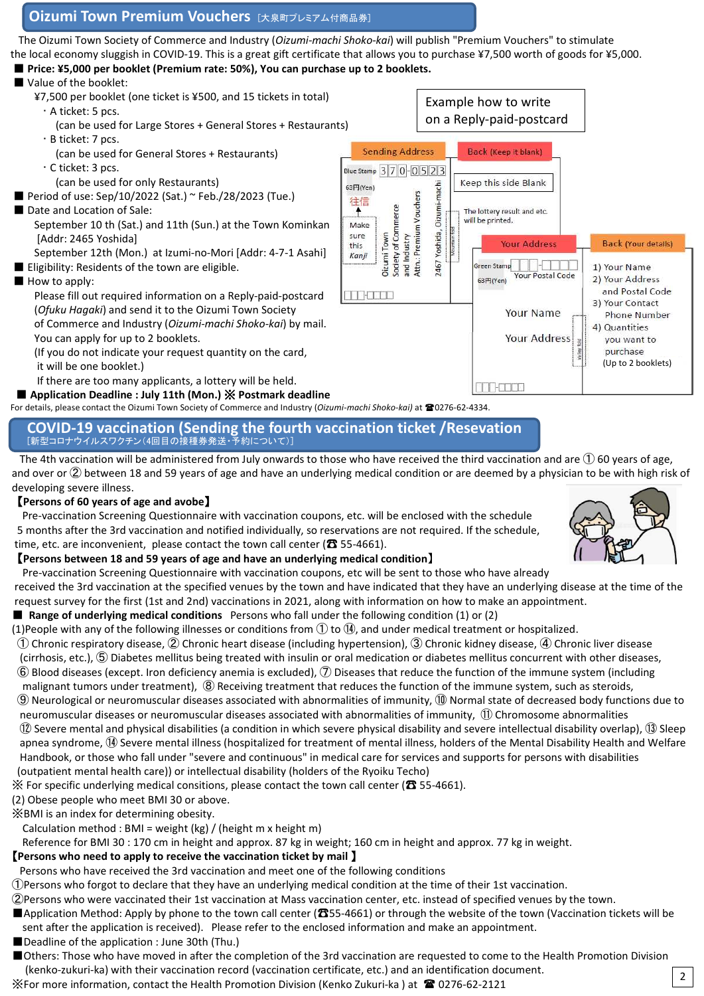### **Oizumi Town Premium Vouchers** [大泉町プレミアム付商品券]

The Oizumi Town Society of Commerce and Industry (*Oizumi-machi Shoko-kai*) will publish "Premium Vouchers" to stimulate the local economy sluggish in COVID-19. This is a great gift certificate that allows you to purchase ¥7,500 worth of goods for ¥5,000.

■ **Price: ¥5,000 per booklet (Premium rate: 50%), You can purchase up to 2 booklets.**

## ■ Value of the booklet:

¥7,500 per booklet (one ticket is ¥500, and 15 tickets in total) Example how to write ・ A ticket: 5 pcs. on a Reply-paid-postcard (can be used for Large Stores + General Stores + Restaurants) ・ B ticket: 7 pcs. **Sending Address** Back (Keep it blank) (can be used for General Stores + Restaurants) ・ C ticket: 3 pcs. Blue Stamp 370-0523 (can be used for only Restaurants) Keep this side Blank 63円(Yen) Yoshida, Oizumi-machi Attn.: Premium Vouchers ■ Period of use: Sep/10/2022 (Sat.) ~ Feb./28/2023 (Tue.) 往信 Society of Commerce ■ Date and Location of Sale: The lottery result and etc. will be printed. September 10 th (Sat.) and 11th (Sun.) at the Town Kominkan Make sure Oizumi Town and Industry [Addr: 2465 Yoshida] **Your Address Back (Your details)** this September 12th (Mon.) at Izumi-no-Mori [Addr: 4-7-1 Asahi] Kanii 2467 17 - SE EL Green Stamp ■ Eligibility: Residents of the town are eligible. 1) Your Name Your Postal Code 2) Your Address 63円(Yen) ■ How to apply: and Postal Code Please fill out required information on a Reply-paid-postcard **MARK STATE** 3) Your Contact (*Ofuku Hagaki*) and send it to the Oizumi Town Society **Your Name Phone Number** of Commerce and Industry (*Oizumi-machi Shoko-kai*) by mail. 4) Quantities You can apply for up to 2 booklets. Your Address vou want to purchase (If you do not indicate your request quantity on the card, (Up to 2 booklets)it will be one booklet.) If there are too many applicants, a lottery will be held. H Fanto ■ **Application Deadline : July 11th (Mon.)** ※ **Postmark deadline**

For details, please contact the Oizumi Town Society of Commerce and Industry (*Oizumi-machi Shoko-kai)* at 0276-62-4334.

#### **COVID-19 vaccination (Sending the fourth vaccination ticket /Resevation** [新型コロナウイルスワクチン(4回目の接種券発送・予約について)]

The 4th vaccination will be administered from July onwards to those who have received the third vaccination and are  $\Omega$  60 years of age, and over or ② between 18 and 59 years of age and have an underlying medical condition or are deemed by a physician to be with high risk of developing severe illness.

#### 【**Persons of 60 years of age and avobe**】

Pre-vaccination Screening Questionnaire with vaccination coupons, etc. will be enclosed with the schedule 5 months after the 3rd vaccination and notified individually, so reservations are not required. If the schedule, time, etc. are inconvenient, please contact the town call center ( $\pi$  55-4661).

#### 【**Persons between 18 and 59 years of age and have an underlying medical condition**】

Pre-vaccination Screening Questionnaire with vaccination coupons, etc will be sent to those who have already received the 3rd vaccination at the specified venues by the town and have indicated that they have an underlying disease at the time of the request survey for the first (1st and 2nd) vaccinations in 2021, along with information on how to make an appointment.

#### ■ **Range of underlying medical conditions** Persons who fall under the following condition (1) or (2)

(1)People with any of the following illnesses or conditions from  $\mathbb{O}$  to  $\mathbb{Q}$ , and under medical treatment or hospitalized.

① Chronic respiratory disease, ② Chronic heart disease (including hypertension), ③ Chronic kidney disease, ④ Chronic liver disease

- (cirrhosis, etc.), ⑤ Diabetes mellitus being treated with insulin or oral medication or diabetes mellitus concurrent with other diseases, ⑥ Blood diseases (except. Iron deficiency anemia is excluded), ⑦ Diseases that reduce the function of the immune system (including
- malignant tumors under treatment), ⑧ Receiving treatment that reduces the function of the immune system, such as steroids,
- ⑨ Neurological or neuromuscular diseases associated with abnormalities of immunity, ⑩ Normal state of decreased body functions due to neuromuscular diseases or neuromuscular diseases associated with abnormalities of immunity, ⑪ Chromosome abnormalities ⑫ Severe mental and physical disabilities (a condition in which severe physical disability and severe intellectual disability overlap), ⑬ Sleep apnea syndrome, ⑭ Severe mental illness (hospitalized for treatment of mental illness, holders of the Mental Disability Health and Welfare Handbook, or those who fall under "severe and continuous" in medical care for services and supports for persons with disabilities
- (outpatient mental health care)) or intellectual disability (holders of the Ryoiku Techo)
- ※ For specific underlying medical consitions, please contact the town call center (☎ 55-4661).
- (2) Obese people who meet BMI 30 or above.
- ※BMI is an index for determining obesity.
	- Calculation method : BMI = weight (kg) / (height m x height m)
- Reference for BMI 30 : 170 cm in height and approx. 87 kg in weight; 160 cm in height and approx. 77 kg in weight.

## 【**Persons who need to apply to receive the vaccination ticket by mail** 】

- Persons who have received the 3rd vaccination and meet one of the following conditions
- ①Persons who forgot to declare that they have an underlying medical condition at the time of their 1st vaccination.
- ②Persons who were vaccinated their 1st vaccination at Mass vaccination center, etc. instead of specified venues by the town.
- ■Application Method: Apply by phone to the town call center (☎55-4661) or through the website of the town (Vaccination tickets will be sent after the application is received). Please refer to the enclosed information and make an appointment.
- ■Deadline of the application : June 30th (Thu.)
- ■Others: Those who have moved in after the completion of the 3rd vaccination are requested to come to the Health Promotion Division
- (kenko-zukuri-ka) with their vaccination record (vaccination certificate, etc.) and an identification document. ※For more information, contact the Health Promotion Division (Kenko Zukuri-ka) at  $\blacksquare$  0276-62-2121



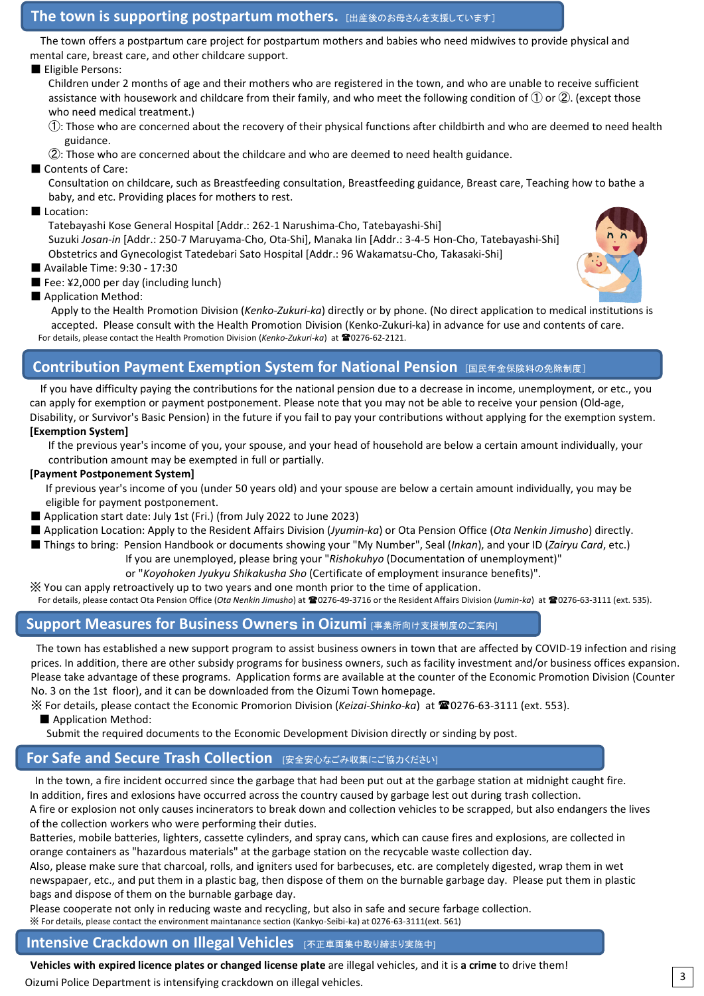#### **The town is supporting postpartum mothers.** [出産後のお母さんを支援しています]

The town offers a postpartum care project for postpartum mothers and babies who need midwives to provide physical and mental care, breast care, and other childcare support.

#### ■ Eligible Persons:

Children under 2 months of age and their mothers who are registered in the town, and who are unable to receive sufficient assistance with housework and childcare from their family, and who meet the following condition of  $(1)$  or  $(2)$ . (except those who need medical treatment.)

- ①: Those who are concerned about the recovery of their physical functions after childbirth and who are deemed to need health guidance.
- ②: Those who are concerned about the childcare and who are deemed to need health guidance.
- Contents of Care:

Consultation on childcare, such as Breastfeeding consultation, Breastfeeding guidance, Breast care, Teaching how to bathe a baby, and etc. Providing places for mothers to rest.

#### ■ Location:

Tatebayashi Kose General Hospital [Addr.: 262-1 Narushima-Cho, Tatebayashi-Shi] Suzuki *Josan-in* [Addr.: 250-7 Maruyama-Cho, Ota-Shi], Manaka Iin [Addr.: 3-4-5 Hon-Cho, Tatebayashi-Shi] Obstetrics and Gynecologist Tatedebari Sato Hospital [Addr.: 96 Wakamatsu-Cho, Takasaki-Shi]

- Available Time: 9:30 17:30
- Fee: ¥2,000 per day (including lunch)
- Application Method:

Apply to the Health Promotion Division (*Kenko-Zukuri-ka*) directly or by phone. (No direct application to medical institutions is accepted. Please consult with the Health Promotion Division (Kenko-Zukuri-ka) in advance for use and contents of care. For details, please contact the Health Promotion Division (Kenko-Zukuri-ka) at 10276-62-2121.

## **Contribution Payment Exemption System for National Pension 国民年金保険料の免除制度】**

If you have difficulty paying the contributions for the national pension due to a decrease in income, unemployment, or etc., you can apply for exemption or payment postponement. Please note that you may not be able to receive your pension (Old-age, Disability, or Survivor's Basic Pension) in the future if you fail to pay your contributions without applying for the exemption system. **[Exemption System]**

If the previous year's income of you, your spouse, and your head of household are below a certain amount individually, your contribution amount may be exempted in full or partially.

#### **[Payment Postponement System]**

If previous year's income of you (under 50 years old) and your spouse are below a certain amount individually, you may be eligible for payment postponement.

- Application start date: July 1st (Fri.) (from July 2022 to June 2023)
- Application Location: Apply to the Resident Affairs Division (*Jyumin-ka*) or Ota Pension Office (*Ota Nenkin Jimusho*) directly.
- Things to bring: Pension Handbook or documents showing your "My Number", Seal (*Inkan*), and your ID (*Zairyu Card*, etc.)
	- If you are unemployed, please bring your "*Rishokuhyo* (Documentation of unemployment)"
		- or "*Koyohoken Jyukyu Shikakusha Sho* (Certificate of employment insurance benefits)".
- ※ You can apply retroactively up to two years and one month prior to the time of application. For details, please contact Ota Pension Office (Ota Nenkin Jimusho) at <sup>22</sup>0276-49-3716 or the Resident Affairs Division (Jumin-ka) at <sup>22</sup>0276-63-3111 (ext. 535).

### **Support Measures for Business Owner**s **in Oizumi** [事業所向け支援制度のご案内]

The town has established a new support program to assist business owners in town that are affected by COVID-19 infection and rising prices. In addition, there are other subsidy programs for business owners, such as facility investment and/or business offices expansion. Please take advantage of these programs. Application forms are available at the counter of the Economic Promotion Division (Counter No. 3 on the 1st floor), and it can be downloaded from the Oizumi Town homepage.

※ For details, please contact the Economic Promorion Division (*Keizai-Shinko-ka*) at 0276-63-3111 (ext. 553).

■ Application Method:

Submit the required documents to the Economic Development Division directly or sinding by post.

### **For Safe and Secure Trash Collection** [安全安心なごみ収集にご協力ください]

In the town, a fire incident occurred since the garbage that had been put out at the garbage station at midnight caught fire. In addition, fires and exlosions have occurred across the country caused by garbage lest out during trash collection.

**Of the collection workers who were performing their duties.** A fire or explosion not only causes incinerators to break down and collection vehicles to be scrapped, but also endangers the lives

Batteries, mobile batteries, lighters, cassette cylinders, and spray cans, which can cause fires and explosions, are collected in orange containers as "hazardous materials" at the garbage station on the recycable waste collection day.

Also, please make sure that charcoal, rolls, and igniters used for barbecuses, etc. are completely digested, wrap them in wet newspapaer, etc., and put them in a plastic bag, then dispose of them on the burnable garbage day. Please put them in plastic bags and dispose of them on the burnable garbage day.

Please cooperate not only in reducing waste and recycling, but also in safe and secure farbage collection.

※ For details, please contact the environment maintanance section (Kankyo-Seibi-ka) at 0276-63-3111(ext. 561)

#### **Intensive Crackdown on Illegal Vehicles** [不正車両集中取り締まり実施中]

**Vehicles with expired licence plates or changed license plate** are illegal vehicles, and it is **a crime** to drive them! Oizumi Police Department is intensifying crackdown on illegal vehicles.